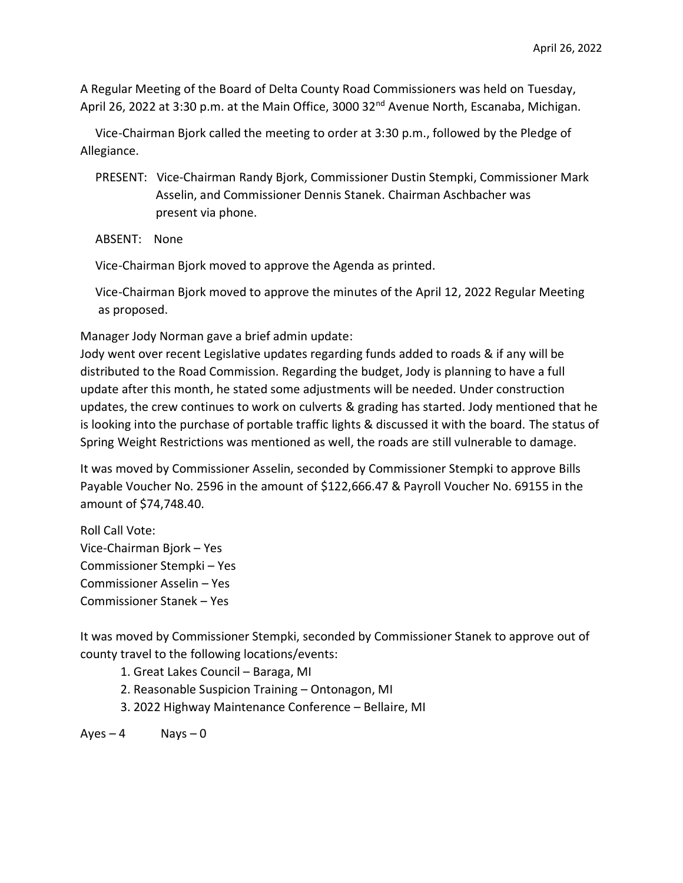A Regular Meeting of the Board of Delta County Road Commissioners was held on Tuesday, April 26, 2022 at 3:30 p.m. at the Main Office, 3000 32<sup>nd</sup> Avenue North, Escanaba, Michigan.

 Vice-Chairman Bjork called the meeting to order at 3:30 p.m., followed by the Pledge of Allegiance.

 PRESENT: Vice-Chairman Randy Bjork, Commissioner Dustin Stempki, Commissioner Mark Asselin, and Commissioner Dennis Stanek. Chairman Aschbacher was present via phone.

ABSENT: None

Vice-Chairman Bjork moved to approve the Agenda as printed.

 Vice-Chairman Bjork moved to approve the minutes of the April 12, 2022 Regular Meeting as proposed.

Manager Jody Norman gave a brief admin update:

Jody went over recent Legislative updates regarding funds added to roads & if any will be distributed to the Road Commission. Regarding the budget, Jody is planning to have a full update after this month, he stated some adjustments will be needed. Under construction updates, the crew continues to work on culverts & grading has started. Jody mentioned that he is looking into the purchase of portable traffic lights & discussed it with the board. The status of Spring Weight Restrictions was mentioned as well, the roads are still vulnerable to damage.

It was moved by Commissioner Asselin, seconded by Commissioner Stempki to approve Bills Payable Voucher No. 2596 in the amount of \$122,666.47 & Payroll Voucher No. 69155 in the amount of \$74,748.40.

Roll Call Vote: Vice-Chairman Bjork – Yes Commissioner Stempki – Yes Commissioner Asselin – Yes Commissioner Stanek – Yes

It was moved by Commissioner Stempki, seconded by Commissioner Stanek to approve out of county travel to the following locations/events:

1. Great Lakes Council – Baraga, MI

- 2. Reasonable Suspicion Training Ontonagon, MI
- 3. 2022 Highway Maintenance Conference Bellaire, MI

 $Ayes - 4$  Nays – 0